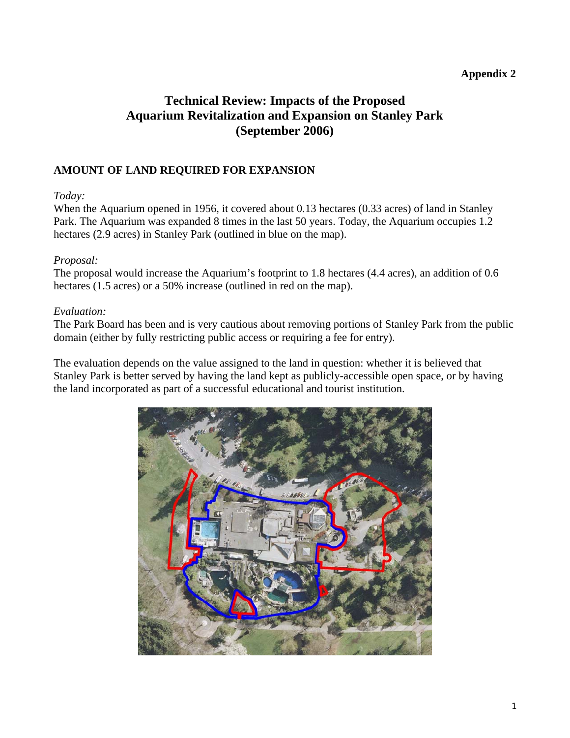### **Appendix 2**

# **Technical Review: Impacts of the Proposed Aquarium Revitalization and Expansion on Stanley Park (September 2006)**

### **AMOUNT OF LAND REQUIRED FOR EXPANSION**

#### *Today:*

When the Aquarium opened in 1956, it covered about 0.13 hectares (0.33 acres) of land in Stanley Park. The Aquarium was expanded 8 times in the last 50 years. Today, the Aquarium occupies 1.2 hectares (2.9 acres) in Stanley Park (outlined in blue on the map).

#### *Proposal:*

The proposal would increase the Aquarium's footprint to 1.8 hectares (4.4 acres), an addition of 0.6 hectares (1.5 acres) or a 50% increase (outlined in red on the map).

#### *Evaluation:*

The Park Board has been and is very cautious about removing portions of Stanley Park from the public domain (either by fully restricting public access or requiring a fee for entry).

The evaluation depends on the value assigned to the land in question: whether it is believed that Stanley Park is better served by having the land kept as publicly-accessible open space, or by having the land incorporated as part of a successful educational and tourist institution.

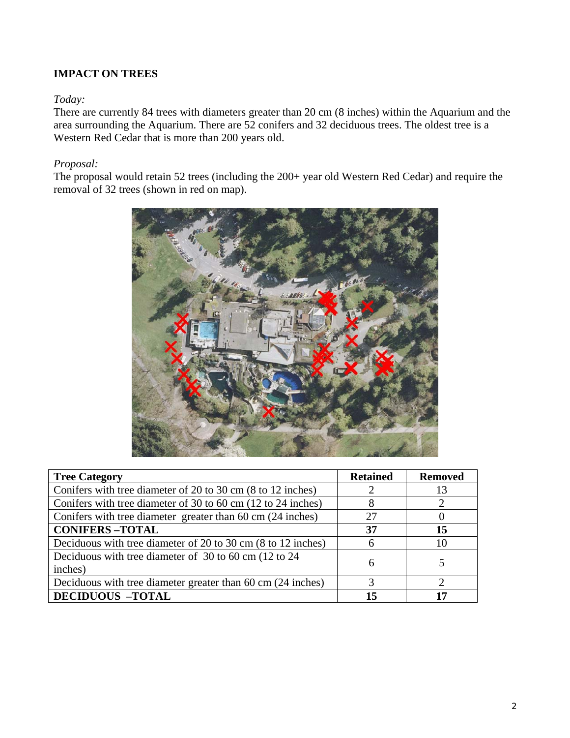## **IMPACT ON TREES**

#### *Today:*

There are currently 84 trees with diameters greater than 20 cm (8 inches) within the Aquarium and the area surrounding the Aquarium. There are 52 conifers and 32 deciduous trees. The oldest tree is a Western Red Cedar that is more than 200 years old.

### *Proposal:*

The proposal would retain 52 trees (including the 200+ year old Western Red Cedar) and require the removal of 32 trees (shown in red on map).



| <b>Tree Category</b>                                         | <b>Retained</b> | <b>Removed</b> |
|--------------------------------------------------------------|-----------------|----------------|
| Conifers with tree diameter of 20 to 30 cm (8 to 12 inches)  | ∍               | 13             |
| Conifers with tree diameter of 30 to 60 cm (12 to 24 inches) | 8               |                |
| Conifers with tree diameter greater than 60 cm (24 inches)   | 27              | O              |
| <b>CONIFERS-TOTAL</b>                                        | 37              | 15             |
| Deciduous with tree diameter of 20 to 30 cm (8 to 12 inches) | 6               | 10             |
| Deciduous with tree diameter of 30 to 60 cm (12 to 24        | 6               |                |
| inches)                                                      |                 |                |
| Deciduous with tree diameter greater than 60 cm (24 inches)  | 3               | っ              |
| <b>DECIDUOUS -TOTAL</b>                                      | 15              | 17             |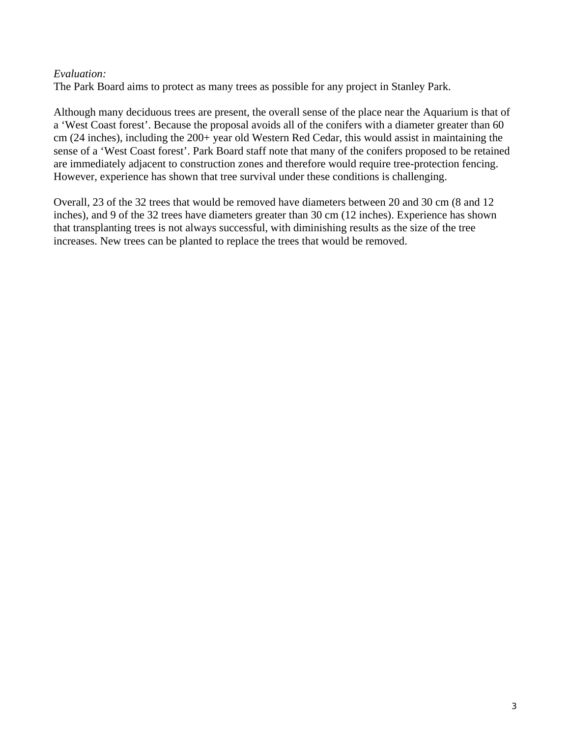#### *Evaluation:*

The Park Board aims to protect as many trees as possible for any project in Stanley Park.

Although many deciduous trees are present, the overall sense of the place near the Aquarium is that of a 'West Coast forest'. Because the proposal avoids all of the conifers with a diameter greater than 60 cm (24 inches), including the 200+ year old Western Red Cedar, this would assist in maintaining the sense of a 'West Coast forest'. Park Board staff note that many of the conifers proposed to be retained are immediately adjacent to construction zones and therefore would require tree-protection fencing. However, experience has shown that tree survival under these conditions is challenging.

Overall, 23 of the 32 trees that would be removed have diameters between 20 and 30 cm (8 and 12 inches), and 9 of the 32 trees have diameters greater than 30 cm (12 inches). Experience has shown that transplanting trees is not always successful, with diminishing results as the size of the tree increases. New trees can be planted to replace the trees that would be removed.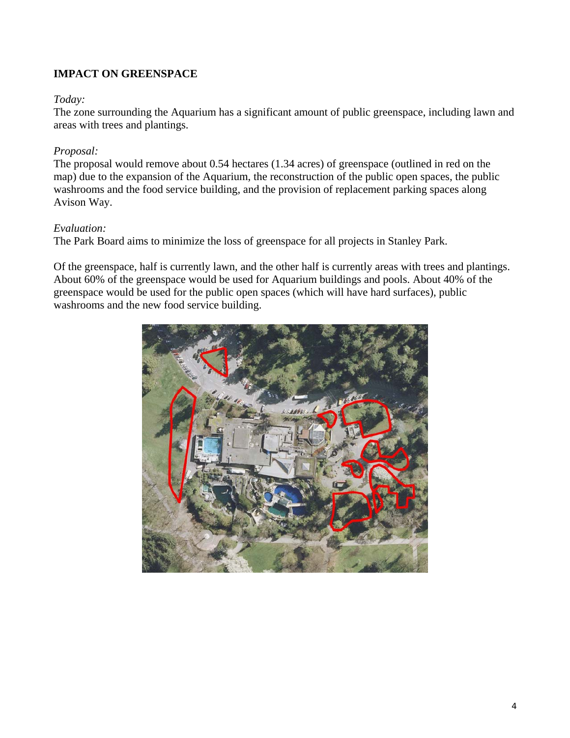## **IMPACT ON GREENSPACE**

#### *Today:*

The zone surrounding the Aquarium has a significant amount of public greenspace, including lawn and areas with trees and plantings.

#### *Proposal:*

The proposal would remove about 0.54 hectares (1.34 acres) of greenspace (outlined in red on the map) due to the expansion of the Aquarium, the reconstruction of the public open spaces, the public washrooms and the food service building, and the provision of replacement parking spaces along Avison Way.

#### *Evaluation:*

The Park Board aims to minimize the loss of greenspace for all projects in Stanley Park.

Of the greenspace, half is currently lawn, and the other half is currently areas with trees and plantings. About 60% of the greenspace would be used for Aquarium buildings and pools. About 40% of the greenspace would be used for the public open spaces (which will have hard surfaces), public washrooms and the new food service building.

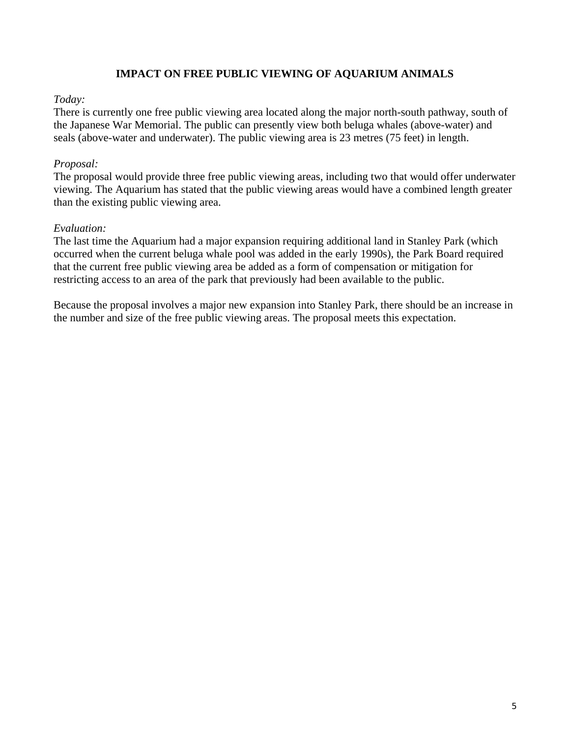### **IMPACT ON FREE PUBLIC VIEWING OF AQUARIUM ANIMALS**

#### *Today:*

There is currently one free public viewing area located along the major north-south pathway, south of the Japanese War Memorial. The public can presently view both beluga whales (above-water) and seals (above-water and underwater). The public viewing area is 23 metres (75 feet) in length.

#### *Proposal:*

The proposal would provide three free public viewing areas, including two that would offer underwater viewing. The Aquarium has stated that the public viewing areas would have a combined length greater than the existing public viewing area.

#### *Evaluation:*

The last time the Aquarium had a major expansion requiring additional land in Stanley Park (which occurred when the current beluga whale pool was added in the early 1990s), the Park Board required that the current free public viewing area be added as a form of compensation or mitigation for restricting access to an area of the park that previously had been available to the public.

Because the proposal involves a major new expansion into Stanley Park, there should be an increase in the number and size of the free public viewing areas. The proposal meets this expectation.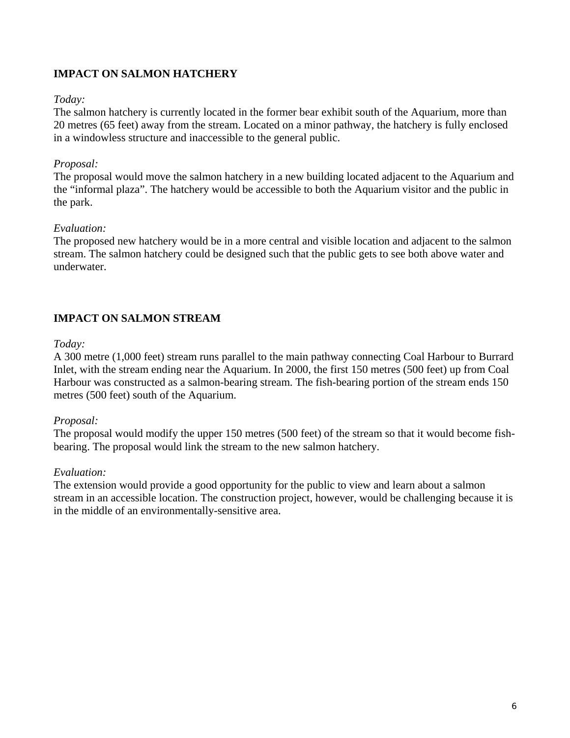## **IMPACT ON SALMON HATCHERY**

#### *Today:*

The salmon hatchery is currently located in the former bear exhibit south of the Aquarium, more than 20 metres (65 feet) away from the stream. Located on a minor pathway, the hatchery is fully enclosed in a windowless structure and inaccessible to the general public.

### *Proposal:*

The proposal would move the salmon hatchery in a new building located adjacent to the Aquarium and the "informal plaza". The hatchery would be accessible to both the Aquarium visitor and the public in the park.

### *Evaluation:*

The proposed new hatchery would be in a more central and visible location and adjacent to the salmon stream. The salmon hatchery could be designed such that the public gets to see both above water and underwater.

## **IMPACT ON SALMON STREAM**

#### *Today:*

A 300 metre (1,000 feet) stream runs parallel to the main pathway connecting Coal Harbour to Burrard Inlet, with the stream ending near the Aquarium. In 2000, the first 150 metres (500 feet) up from Coal Harbour was constructed as a salmon-bearing stream. The fish-bearing portion of the stream ends 150 metres (500 feet) south of the Aquarium.

#### *Proposal:*

The proposal would modify the upper 150 metres (500 feet) of the stream so that it would become fishbearing. The proposal would link the stream to the new salmon hatchery.

#### *Evaluation:*

The extension would provide a good opportunity for the public to view and learn about a salmon stream in an accessible location. The construction project, however, would be challenging because it is in the middle of an environmentally-sensitive area.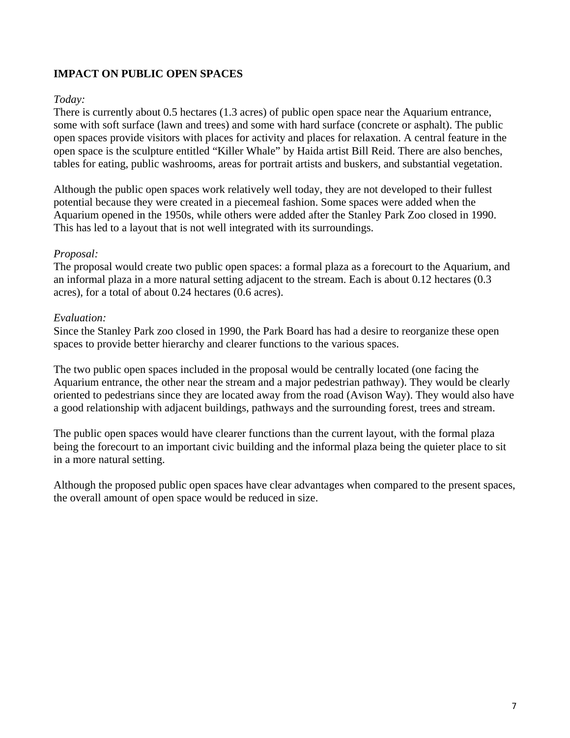## **IMPACT ON PUBLIC OPEN SPACES**

### *Today:*

There is currently about 0.5 hectares (1.3 acres) of public open space near the Aquarium entrance, some with soft surface (lawn and trees) and some with hard surface (concrete or asphalt). The public open spaces provide visitors with places for activity and places for relaxation. A central feature in the open space is the sculpture entitled "Killer Whale" by Haida artist Bill Reid. There are also benches, tables for eating, public washrooms, areas for portrait artists and buskers, and substantial vegetation.

Although the public open spaces work relatively well today, they are not developed to their fullest potential because they were created in a piecemeal fashion. Some spaces were added when the Aquarium opened in the 1950s, while others were added after the Stanley Park Zoo closed in 1990. This has led to a layout that is not well integrated with its surroundings.

### *Proposal:*

The proposal would create two public open spaces: a formal plaza as a forecourt to the Aquarium, and an informal plaza in a more natural setting adjacent to the stream. Each is about 0.12 hectares (0.3 acres), for a total of about 0.24 hectares (0.6 acres).

### *Evaluation:*

Since the Stanley Park zoo closed in 1990, the Park Board has had a desire to reorganize these open spaces to provide better hierarchy and clearer functions to the various spaces.

The two public open spaces included in the proposal would be centrally located (one facing the Aquarium entrance, the other near the stream and a major pedestrian pathway). They would be clearly oriented to pedestrians since they are located away from the road (Avison Way). They would also have a good relationship with adjacent buildings, pathways and the surrounding forest, trees and stream.

The public open spaces would have clearer functions than the current layout, with the formal plaza being the forecourt to an important civic building and the informal plaza being the quieter place to sit in a more natural setting.

Although the proposed public open spaces have clear advantages when compared to the present spaces, the overall amount of open space would be reduced in size.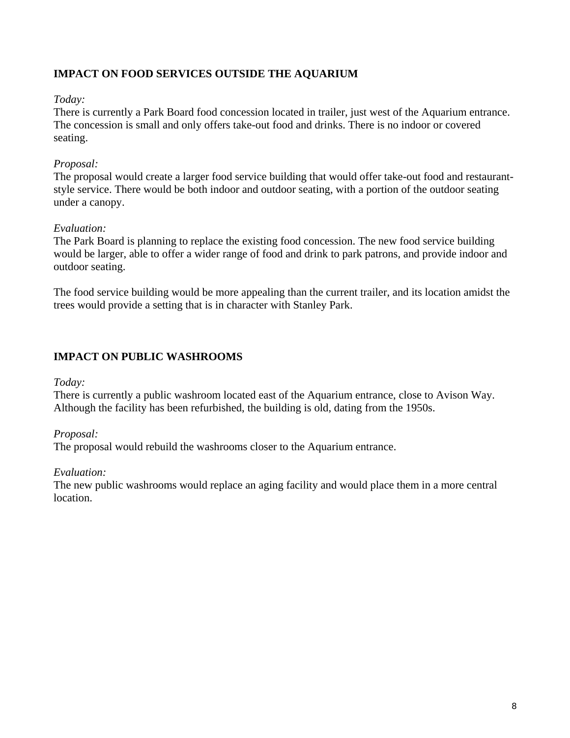## **IMPACT ON FOOD SERVICES OUTSIDE THE AQUARIUM**

#### *Today:*

There is currently a Park Board food concession located in trailer, just west of the Aquarium entrance. The concession is small and only offers take-out food and drinks. There is no indoor or covered seating.

## *Proposal:*

The proposal would create a larger food service building that would offer take-out food and restaurantstyle service. There would be both indoor and outdoor seating, with a portion of the outdoor seating under a canopy.

## *Evaluation:*

The Park Board is planning to replace the existing food concession. The new food service building would be larger, able to offer a wider range of food and drink to park patrons, and provide indoor and outdoor seating.

The food service building would be more appealing than the current trailer, and its location amidst the trees would provide a setting that is in character with Stanley Park.

## **IMPACT ON PUBLIC WASHROOMS**

## *Today:*

There is currently a public washroom located east of the Aquarium entrance, close to Avison Way. Although the facility has been refurbished, the building is old, dating from the 1950s.

## *Proposal:*

The proposal would rebuild the washrooms closer to the Aquarium entrance.

## *Evaluation:*

The new public washrooms would replace an aging facility and would place them in a more central location.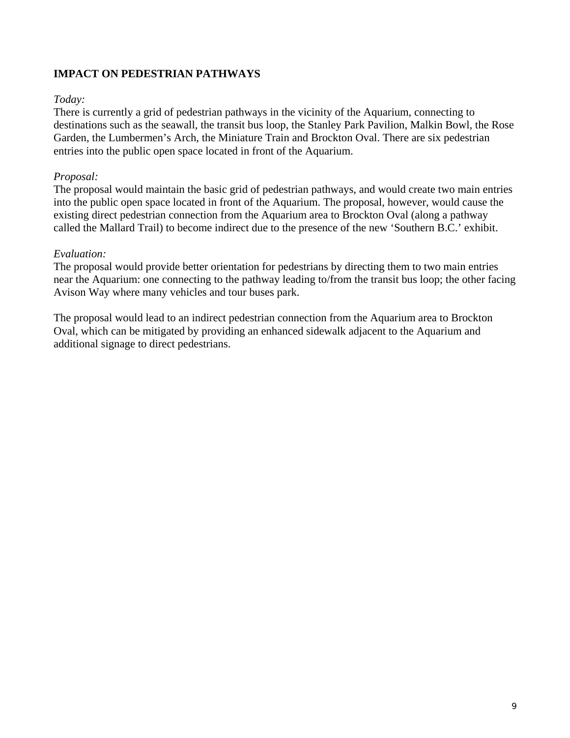## **IMPACT ON PEDESTRIAN PATHWAYS**

### *Today:*

There is currently a grid of pedestrian pathways in the vicinity of the Aquarium, connecting to destinations such as the seawall, the transit bus loop, the Stanley Park Pavilion, Malkin Bowl, the Rose Garden, the Lumbermen's Arch, the Miniature Train and Brockton Oval. There are six pedestrian entries into the public open space located in front of the Aquarium.

### *Proposal:*

The proposal would maintain the basic grid of pedestrian pathways, and would create two main entries into the public open space located in front of the Aquarium. The proposal, however, would cause the existing direct pedestrian connection from the Aquarium area to Brockton Oval (along a pathway called the Mallard Trail) to become indirect due to the presence of the new 'Southern B.C.' exhibit.

### *Evaluation:*

The proposal would provide better orientation for pedestrians by directing them to two main entries near the Aquarium: one connecting to the pathway leading to/from the transit bus loop; the other facing Avison Way where many vehicles and tour buses park.

The proposal would lead to an indirect pedestrian connection from the Aquarium area to Brockton Oval, which can be mitigated by providing an enhanced sidewalk adjacent to the Aquarium and additional signage to direct pedestrians.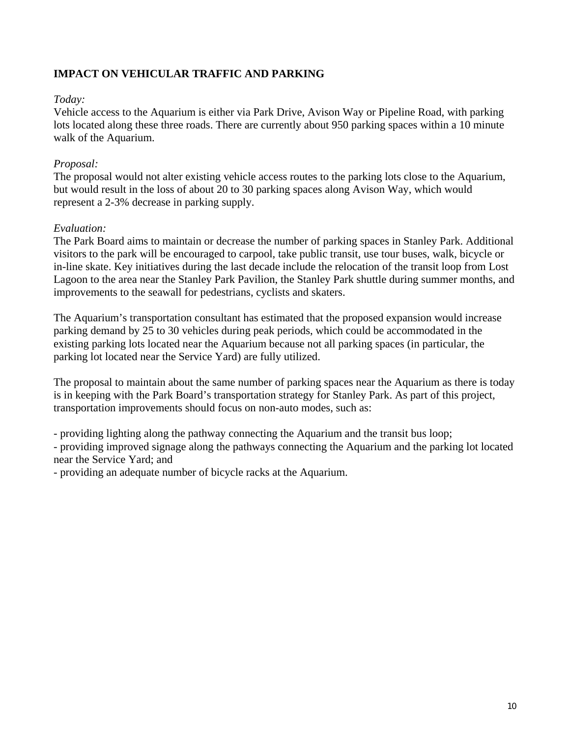## **IMPACT ON VEHICULAR TRAFFIC AND PARKING**

#### *Today:*

Vehicle access to the Aquarium is either via Park Drive, Avison Way or Pipeline Road, with parking lots located along these three roads. There are currently about 950 parking spaces within a 10 minute walk of the Aquarium.

### *Proposal:*

The proposal would not alter existing vehicle access routes to the parking lots close to the Aquarium, but would result in the loss of about 20 to 30 parking spaces along Avison Way, which would represent a 2-3% decrease in parking supply.

### *Evaluation:*

The Park Board aims to maintain or decrease the number of parking spaces in Stanley Park. Additional visitors to the park will be encouraged to carpool, take public transit, use tour buses, walk, bicycle or in-line skate. Key initiatives during the last decade include the relocation of the transit loop from Lost Lagoon to the area near the Stanley Park Pavilion, the Stanley Park shuttle during summer months, and improvements to the seawall for pedestrians, cyclists and skaters.

The Aquarium's transportation consultant has estimated that the proposed expansion would increase parking demand by 25 to 30 vehicles during peak periods, which could be accommodated in the existing parking lots located near the Aquarium because not all parking spaces (in particular, the parking lot located near the Service Yard) are fully utilized.

The proposal to maintain about the same number of parking spaces near the Aquarium as there is today is in keeping with the Park Board's transportation strategy for Stanley Park. As part of this project, transportation improvements should focus on non-auto modes, such as:

- providing lighting along the pathway connecting the Aquarium and the transit bus loop;

- providing improved signage along the pathways connecting the Aquarium and the parking lot located near the Service Yard; and

- providing an adequate number of bicycle racks at the Aquarium.